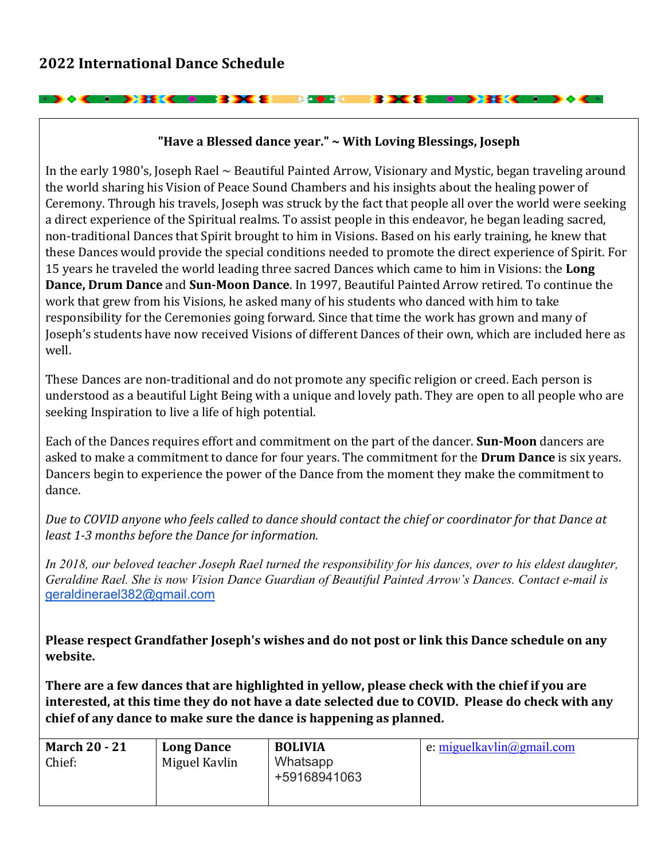**Excessive Contract Contract Contract Contract Contract Contract Contract Contract Contract Contract Contract Co** 

**PERSONAL PROPERTY** 

## "Have a Blessed dance year." ~ With Loving Blessings, Joseph

**Base Ad** 

In the early 1980's, Joseph Rael  $\sim$  Beautiful Painted Arrow, Visionary and Mystic, began traveling around the world sharing his Vision of Peace Sound Chambers and his insights about the healing power of Ceremony. Through his travels, Joseph was struck by the fact that people all over the world were seeking a direct experience of the Spiritual realms. To assist people in this endeavor, he began leading sacred, non-traditional Dances that Spirit brought to him in Visions. Based on his early training, he knew that these Dances would provide the special conditions needed to promote the direct experience of Spirit. For 15 years he traveled the world leading three sacred Dances which came to him in Visions: the Long **Dance, Drum Dance** and **Sun-Moon Dance**. In 1997, Beautiful Painted Arrow retired. To continue the work that grew from his Visions, he asked many of his students who danced with him to take responsibility for the Ceremonies going forward. Since that time the work has grown and many of Joseph's students have now received Visions of different Dances of their own, which are included here as well. 

These Dances are non-traditional and do not promote any specific religion or creed. Each person is understood as a beautiful Light Being with a unique and lovely path. They are open to all people who are seeking Inspiration to live a life of high potential.

Each of the Dances requires effort and commitment on the part of the dancer. **Sun-Moon** dancers are asked to make a commitment to dance for four years. The commitment for the **Drum Dance** is six years. Dancers begin to experience the power of the Dance from the moment they make the commitment to dance. 

Due to COVID anyone who feels called to dance should contact the chief or coordinator for that Dance at least 1-3 months before the Dance for information.

*In 2018, our beloved teacher Joseph Rael turned the responsibility for his dances, over to his eldest daughter, Geraldine Rael. She is now Vision Dance Guardian of Beautiful Painted Arrow's Dances. Contact e-mail is* geraldinerael382@gmail.com

**Please respect Grandfather Joseph's wishes and do not post or link this Dance schedule on any website.** 

There are a few dances that are highlighted in yellow, please check with the chief if you are interested, at this time they do not have a date selected due to COVID. Please do check with any chief of any dance to make sure the dance is happening as planned.

| <b>March 20 - 21</b><br>Chief: | <b>Long Dance</b><br>Miguel Kavlin | <b>BOLIVIA</b><br>Whatsapp<br>+59168941063 | e: miguelkavlin@gmail.com |
|--------------------------------|------------------------------------|--------------------------------------------|---------------------------|
|                                |                                    |                                            |                           |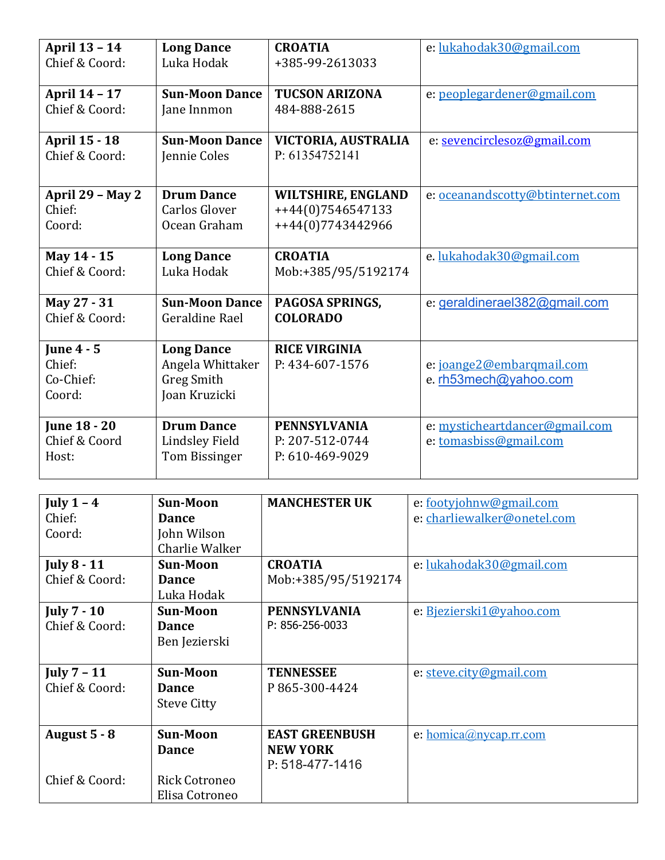| <b>April 13 - 14</b>                               | <b>Long Dance</b>                                                           | <b>CROATIA</b>                                            | e: lukahodak30@gmail.com                                 |
|----------------------------------------------------|-----------------------------------------------------------------------------|-----------------------------------------------------------|----------------------------------------------------------|
| Chief & Coord:                                     | Luka Hodak                                                                  | +385-99-2613033                                           |                                                          |
| April 14 - 17                                      | <b>Sun-Moon Dance</b>                                                       | <b>TUCSON ARIZONA</b>                                     | e: peoplegardener@gmail.com                              |
| Chief & Coord:                                     | Jane Innmon                                                                 | 484-888-2615                                              |                                                          |
| <b>April 15 - 18</b>                               | <b>Sun-Moon Dance</b>                                                       | VICTORIA, AUSTRALIA                                       | e: sevencirclesoz@gmail.com                              |
| Chief & Coord:                                     | Jennie Coles                                                                | P: 61354752141                                            |                                                          |
| April 29 - May 2                                   | <b>Drum Dance</b>                                                           | <b>WILTSHIRE, ENGLAND</b>                                 | e: oceanandscotty@btinternet.com                         |
| Chief:                                             | <b>Carlos Glover</b>                                                        | ++44(0)7546547133                                         |                                                          |
| Coord:                                             | Ocean Graham                                                                | ++44(0)7743442966                                         |                                                          |
| May 14 - 15                                        | <b>Long Dance</b>                                                           | <b>CROATIA</b>                                            | e.lukahodak30@gmail.com                                  |
| Chief & Coord:                                     | Luka Hodak                                                                  | Mob:+385/95/5192174                                       |                                                          |
| May 27 - 31                                        | <b>Sun-Moon Dance</b>                                                       | PAGOSA SPRINGS,                                           | e: geraldinerael382@gmail.com                            |
| Chief & Coord:                                     | Geraldine Rael                                                              | <b>COLORADO</b>                                           |                                                          |
| <b>June 4 - 5</b><br>Chief:<br>Co-Chief:<br>Coord: | <b>Long Dance</b><br>Angela Whittaker<br><b>Greg Smith</b><br>Joan Kruzicki | <b>RICE VIRGINIA</b><br>P: 434-607-1576                   | e: joange2@embarqmail.com<br>e. rh53mech@yahoo.com       |
| <b>June 18 - 20</b><br>Chief & Coord<br>Host:      | <b>Drum Dance</b><br><b>Lindsley Field</b><br><b>Tom Bissinger</b>          | <b>PENNSYLVANIA</b><br>P: 207-512-0744<br>P: 610-469-9029 | e: mysticheartdancer@gmail.com<br>e: tomasbiss@gmail.com |

| July $1 - 4$       | <b>Sun-Moon</b>      | <b>MANCHESTER UK</b>  | e: footyjohnw@gmail.com     |
|--------------------|----------------------|-----------------------|-----------------------------|
| Chief:             | <b>Dance</b>         |                       | e: charliewalker@onetel.com |
| Coord:             | John Wilson          |                       |                             |
|                    | Charlie Walker       |                       |                             |
| <b>July 8 - 11</b> | <b>Sun-Moon</b>      | <b>CROATIA</b>        | e: lukahodak30@gmail.com    |
| Chief & Coord:     | <b>Dance</b>         | Mob:+385/95/5192174   |                             |
|                    | Luka Hodak           |                       |                             |
| <b>July 7 - 10</b> | <b>Sun-Moon</b>      | <b>PENNSYLVANIA</b>   | e: Bjezierski1@yahoo.com    |
| Chief & Coord:     | <b>Dance</b>         | P: 856-256-0033       |                             |
|                    | Ben Jezierski        |                       |                             |
|                    |                      |                       |                             |
| July $7 - 11$      | <b>Sun-Moon</b>      | <b>TENNESSEE</b>      | e: steve.city@gmail.com     |
| Chief & Coord:     | <b>Dance</b>         | P865-300-4424         |                             |
|                    | <b>Steve Citty</b>   |                       |                             |
|                    |                      |                       |                             |
| August 5 - 8       | <b>Sun-Moon</b>      | <b>EAST GREENBUSH</b> | e: $homica@nycap.rr.com$    |
|                    | <b>Dance</b>         | <b>NEW YORK</b>       |                             |
|                    |                      | P: 518-477-1416       |                             |
| Chief & Coord:     | <b>Rick Cotroneo</b> |                       |                             |
|                    | Elisa Cotroneo       |                       |                             |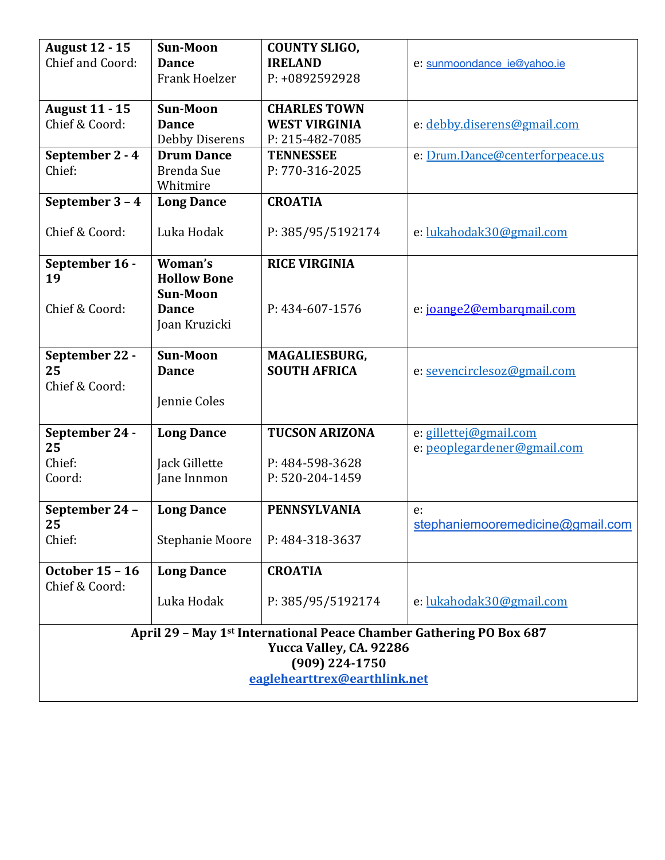| <b>August 12 - 15</b><br>Chief and Coord:                                                                                                                    | <b>Sun-Moon</b><br><b>Dance</b><br><b>Frank Hoelzer</b> | <b>COUNTY SLIGO,</b><br><b>IRELAND</b><br>P: +0892592928       | e: sunmoondance ie@yahoo.ie                           |
|--------------------------------------------------------------------------------------------------------------------------------------------------------------|---------------------------------------------------------|----------------------------------------------------------------|-------------------------------------------------------|
| <b>August 11 - 15</b><br>Chief & Coord:                                                                                                                      | <b>Sun-Moon</b><br><b>Dance</b><br>Debby Diserens       | <b>CHARLES TOWN</b><br><b>WEST VIRGINIA</b><br>P: 215-482-7085 | e: debby.diserens@gmail.com                           |
| September 2 - 4<br>Chief:                                                                                                                                    | <b>Drum Dance</b><br><b>Brenda Sue</b><br>Whitmire      | <b>TENNESSEE</b><br>P: 770-316-2025                            | e: Drum.Dance@centerforpeace.us                       |
| September 3 - 4                                                                                                                                              | <b>Long Dance</b>                                       | <b>CROATIA</b>                                                 |                                                       |
| Chief & Coord:                                                                                                                                               | Luka Hodak                                              | P: 385/95/5192174                                              | e: lukahodak30@gmail.com                              |
| September 16 -<br>19                                                                                                                                         | Woman's<br><b>Hollow Bone</b><br><b>Sun-Moon</b>        | <b>RICE VIRGINIA</b>                                           |                                                       |
| Chief & Coord:                                                                                                                                               | <b>Dance</b><br>Joan Kruzicki                           | P: 434-607-1576                                                | e: joange2@embarqmail.com                             |
| September 22 -<br>25<br>Chief & Coord:                                                                                                                       | <b>Sun-Moon</b><br><b>Dance</b><br>Jennie Coles         | MAGALIESBURG,<br><b>SOUTH AFRICA</b>                           | e: sevencirclesoz@gmail.com                           |
| September 24 -<br>25<br>Chief:<br>Coord:                                                                                                                     | <b>Long Dance</b><br>Jack Gillette<br>Jane Innmon       | <b>TUCSON ARIZONA</b><br>P: 484-598-3628<br>P: 520-204-1459    | e: gillettej@gmail.com<br>e: peoplegardener@gmail.com |
| September 24 -<br>25<br>Chief:                                                                                                                               | <b>Long Dance</b><br>Stephanie Moore                    | <b>PENNSYLVANIA</b><br>P: 484-318-3637                         | e:<br>stephaniemooremedicine@gmail.com                |
| <b>October 15 - 16</b>                                                                                                                                       | <b>Long Dance</b>                                       | <b>CROATIA</b>                                                 |                                                       |
| Chief & Coord:                                                                                                                                               | Luka Hodak                                              | P: 385/95/5192174                                              | e: lukahodak30@gmail.com                              |
| April 29 - May 1 <sup>st</sup> International Peace Chamber Gathering PO Box 687<br>Yucca Valley, CA. 92286<br>(909) 224-1750<br>eaglehearttrex@earthlink.net |                                                         |                                                                |                                                       |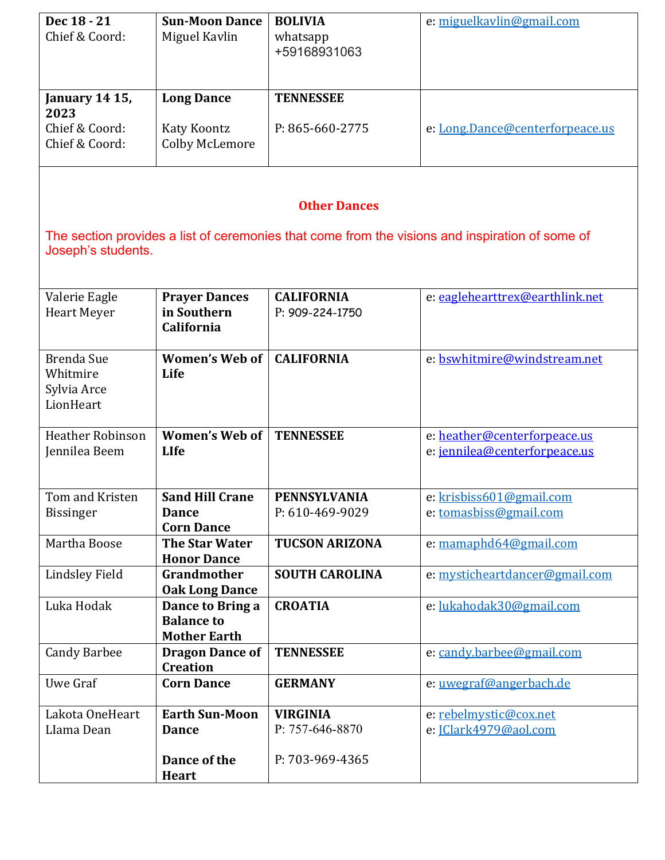| Dec 18 - 21<br>Chief & Coord:                             | <b>Sun-Moon Dance</b><br>Miguel Kavlin                       | <b>BOLIVIA</b><br>whatsapp<br>+59168931063 | e: miguelkavlin@gmail.com                                                                       |
|-----------------------------------------------------------|--------------------------------------------------------------|--------------------------------------------|-------------------------------------------------------------------------------------------------|
| January 14 15,<br>2023                                    | <b>Long Dance</b>                                            | <b>TENNESSEE</b>                           |                                                                                                 |
| Chief & Coord:<br>Chief & Coord:                          | <b>Katy Koontz</b><br><b>Colby McLemore</b>                  | P: 865-660-2775                            | e: Long.Dance@centerforpeace.us                                                                 |
|                                                           |                                                              | <b>Other Dances</b>                        |                                                                                                 |
| Joseph's students.                                        |                                                              |                                            | The section provides a list of ceremonies that come from the visions and inspiration of some of |
| Valerie Eagle<br><b>Heart Meyer</b>                       | <b>Prayer Dances</b><br>in Southern<br>California            | <b>CALIFORNIA</b><br>P: 909-224-1750       | e: eaglehearttrex@earthlink.net                                                                 |
| <b>Brenda Sue</b><br>Whitmire<br>Sylvia Arce<br>LionHeart | <b>Women's Web of</b><br>Life                                | <b>CALIFORNIA</b>                          | e: bswhitmire@windstream.net                                                                    |
| <b>Heather Robinson</b><br>Jennilea Beem                  | <b>Women's Web of</b><br><b>LIfe</b>                         | <b>TENNESSEE</b>                           | e: heather@centerforpeace.us<br>e: jennilea@centerforpeace.us                                   |
| Tom and Kristen<br><b>Bissinger</b>                       | <b>Sand Hill Crane</b><br><b>Dance</b><br><b>Corn Dance</b>  | <b>PENNSYLVANIA</b><br>P: 610-469-9029     | e: krisbiss601@gmail.com<br>e: tomasbiss@gmail.com                                              |
| Martha Boose                                              | <b>The Star Water</b><br><b>Honor Dance</b>                  | <b>TUCSON ARIZONA</b>                      | e: mamaphd64@gmail.com                                                                          |
| Lindsley Field                                            | Grandmother<br><b>Oak Long Dance</b>                         | <b>SOUTH CAROLINA</b>                      | e: mysticheartdancer@gmail.com                                                                  |
| Luka Hodak                                                | Dance to Bring a<br><b>Balance to</b><br><b>Mother Earth</b> | <b>CROATIA</b>                             | e: lukahodak30@gmail.com                                                                        |
| <b>Candy Barbee</b>                                       | <b>Dragon Dance of</b><br><b>Creation</b>                    | <b>TENNESSEE</b>                           | e: candy.barbee@gmail.com                                                                       |
| Uwe Graf                                                  | <b>Corn Dance</b>                                            | <b>GERMANY</b>                             | e: uwegraf@angerbach.de                                                                         |
| Lakota OneHeart<br>Llama Dean                             | <b>Earth Sun-Moon</b><br><b>Dance</b>                        | <b>VIRGINIA</b><br>P: 757-646-8870         | e: rebelmystic@cox.net<br>e: JClark4979@aol.com                                                 |
|                                                           | Dance of the<br><b>Heart</b>                                 | P: 703-969-4365                            |                                                                                                 |